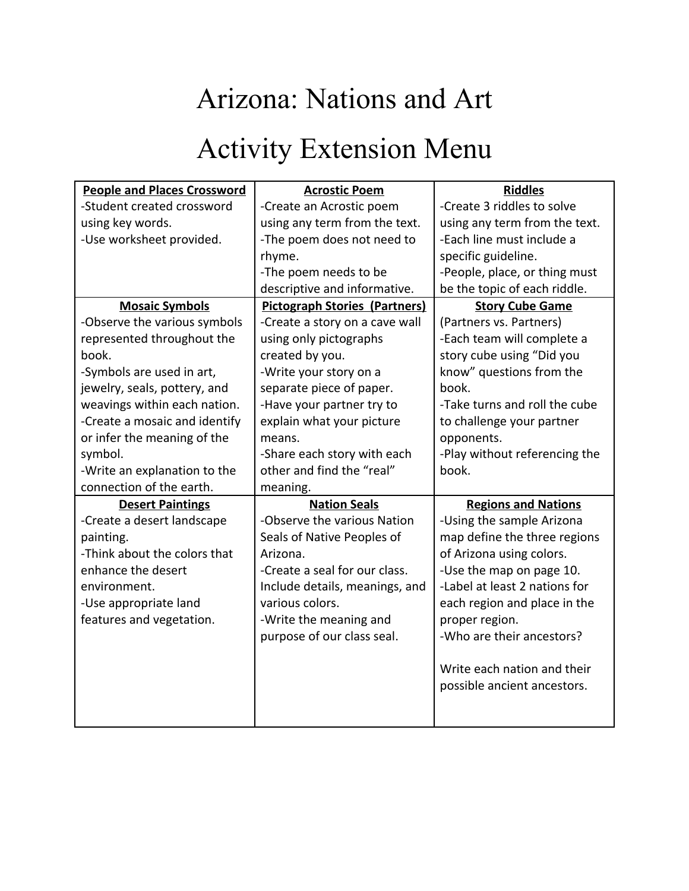# Arizona: Nations and Art

# Activity Extension Menu

| <b>People and Places Crossword</b> | <b>Acrostic Poem</b>                 | <b>Riddles</b>                |
|------------------------------------|--------------------------------------|-------------------------------|
| -Student created crossword         | -Create an Acrostic poem             | -Create 3 riddles to solve    |
| using key words.                   | using any term from the text.        | using any term from the text. |
| -Use worksheet provided.           | -The poem does not need to           | -Each line must include a     |
|                                    | rhyme.                               | specific guideline.           |
|                                    | -The poem needs to be                | -People, place, or thing must |
|                                    | descriptive and informative.         | be the topic of each riddle.  |
| <b>Mosaic Symbols</b>              | <b>Pictograph Stories (Partners)</b> | <b>Story Cube Game</b>        |
| -Observe the various symbols       | -Create a story on a cave wall       | (Partners vs. Partners)       |
| represented throughout the         | using only pictographs               | -Each team will complete a    |
| book.                              | created by you.                      | story cube using "Did you     |
| -Symbols are used in art,          | -Write your story on a               | know" questions from the      |
| jewelry, seals, pottery, and       | separate piece of paper.             | book.                         |
| weavings within each nation.       | -Have your partner try to            | -Take turns and roll the cube |
| -Create a mosaic and identify      | explain what your picture            | to challenge your partner     |
| or infer the meaning of the        | means.                               | opponents.                    |
| symbol.                            | -Share each story with each          | -Play without referencing the |
| -Write an explanation to the       | other and find the "real"            | book.                         |
| connection of the earth.           | meaning.                             |                               |
| <b>Desert Paintings</b>            | <b>Nation Seals</b>                  | <b>Regions and Nations</b>    |
| -Create a desert landscape         | -Observe the various Nation          | -Using the sample Arizona     |
| painting.                          | Seals of Native Peoples of           | map define the three regions  |
| -Think about the colors that       | Arizona.                             | of Arizona using colors.      |
| enhance the desert                 | -Create a seal for our class.        | -Use the map on page 10.      |
| environment.                       | Include details, meanings, and       | -Label at least 2 nations for |
| -Use appropriate land              | various colors.                      | each region and place in the  |
| features and vegetation.           | -Write the meaning and               | proper region.                |
|                                    | purpose of our class seal.           | -Who are their ancestors?     |
|                                    |                                      |                               |
|                                    |                                      | Write each nation and their   |
|                                    |                                      | possible ancient ancestors.   |
|                                    |                                      |                               |
|                                    |                                      |                               |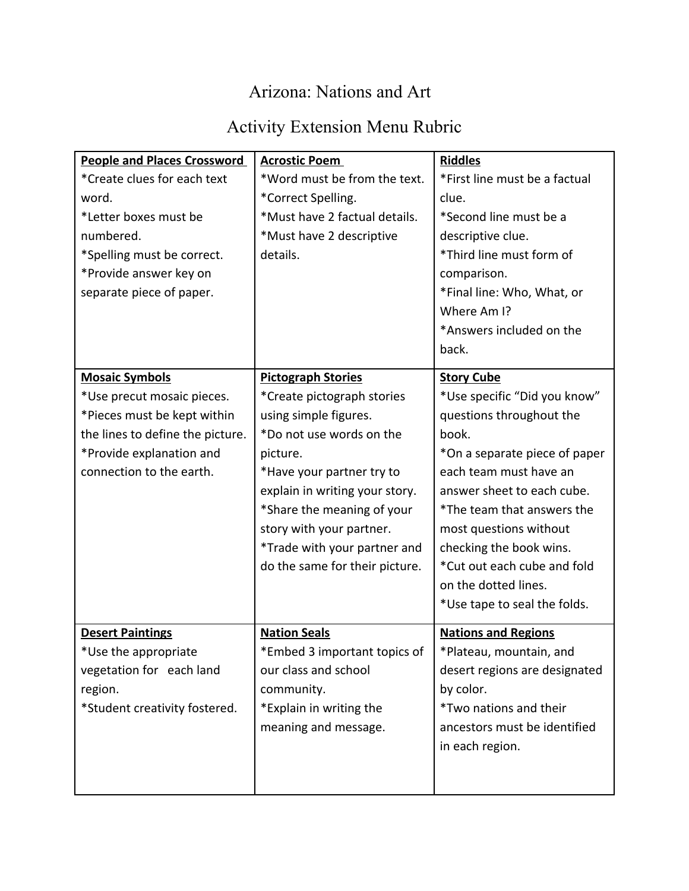## Arizona: Nations and Art

## Activity Extension Menu Rubric

| <b>People and Places Crossword</b> | <b>Acrostic Poem</b>           | <b>Riddles</b>                |
|------------------------------------|--------------------------------|-------------------------------|
| *Create clues for each text        | *Word must be from the text.   | *First line must be a factual |
| word.                              | *Correct Spelling.             | clue.                         |
| *Letter boxes must be              | *Must have 2 factual details.  | *Second line must be a        |
| numbered.                          | *Must have 2 descriptive       | descriptive clue.             |
| *Spelling must be correct.         | details.                       | *Third line must form of      |
| *Provide answer key on             |                                | comparison.                   |
| separate piece of paper.           |                                | *Final line: Who, What, or    |
|                                    |                                | Where Am I?                   |
|                                    |                                | *Answers included on the      |
|                                    |                                | back.                         |
| <b>Mosaic Symbols</b>              | <b>Pictograph Stories</b>      | <b>Story Cube</b>             |
| *Use precut mosaic pieces.         | *Create pictograph stories     | *Use specific "Did you know"  |
| *Pieces must be kept within        | using simple figures.          | questions throughout the      |
| the lines to define the picture.   | *Do not use words on the       | book.                         |
| *Provide explanation and           | picture.                       | *On a separate piece of paper |
| connection to the earth.           | *Have your partner try to      | each team must have an        |
|                                    | explain in writing your story. | answer sheet to each cube.    |
|                                    | *Share the meaning of your     | *The team that answers the    |
|                                    | story with your partner.       | most questions without        |
|                                    | *Trade with your partner and   | checking the book wins.       |
|                                    | do the same for their picture. | *Cut out each cube and fold   |
|                                    |                                | on the dotted lines.          |
|                                    |                                | *Use tape to seal the folds.  |
| <b>Desert Paintings</b>            | <b>Nation Seals</b>            | <b>Nations and Regions</b>    |
| *Use the appropriate               | *Embed 3 important topics of   | *Plateau, mountain, and       |
| vegetation for each land           | our class and school           | desert regions are designated |
| region.                            | community.                     | by color.                     |
| *Student creativity fostered.      | *Explain in writing the        | *Two nations and their        |
|                                    | meaning and message.           | ancestors must be identified  |
|                                    |                                | in each region.               |
|                                    |                                |                               |
|                                    |                                |                               |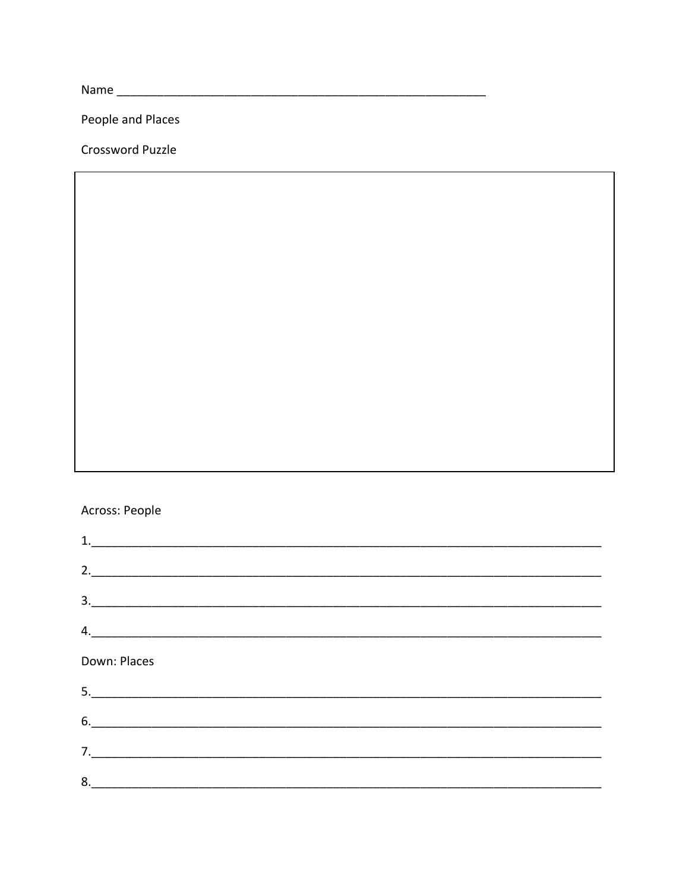People and Places

Crossword Puzzle

#### Across: People

| 1.<br><u> 1989 - Johann John Stein, mars ar yw i brenin y cynnwys y cynnwys y cynnwys y cynnwys y cynnwys y cynnwys y c</u> |  |  |  |
|-----------------------------------------------------------------------------------------------------------------------------|--|--|--|
| 2.                                                                                                                          |  |  |  |
|                                                                                                                             |  |  |  |
| 4.                                                                                                                          |  |  |  |
| Down: Places                                                                                                                |  |  |  |
| 5.                                                                                                                          |  |  |  |
|                                                                                                                             |  |  |  |
| 7.                                                                                                                          |  |  |  |
| 8.                                                                                                                          |  |  |  |
|                                                                                                                             |  |  |  |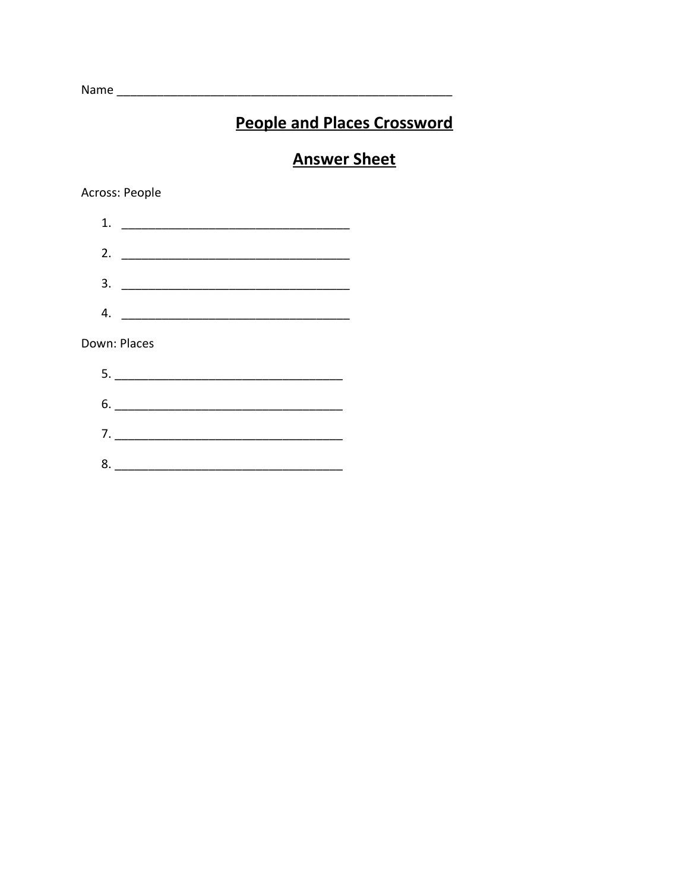## **People and Places Crossword**

### **Answer Sheet**

Across: People

| 1.           |    |
|--------------|----|
| 2.           |    |
| 3.           |    |
| 4.           |    |
| Down: Places |    |
|              |    |
|              | 6. |
|              |    |
| 8.           |    |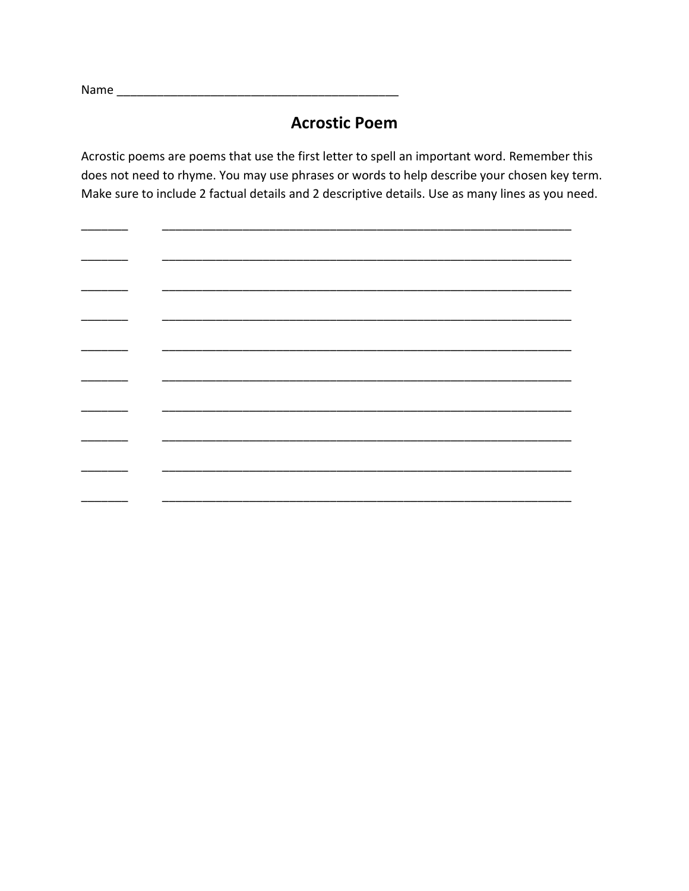Name

 $\mathbb{R}^{\mathbb{Z}}$ 

#### **Acrostic Poem**

Acrostic poems are poems that use the first letter to spell an important word. Remember this does not need to rhyme. You may use phrases or words to help describe your chosen key term. Make sure to include 2 factual details and 2 descriptive details. Use as many lines as you need.

\_\_\_\_\_  $\overline{\phantom{a}}$  $\sim$ \_\_\_\_\_\_\_ ÷, \_\_\_\_\_  $\overline{\phantom{a}}$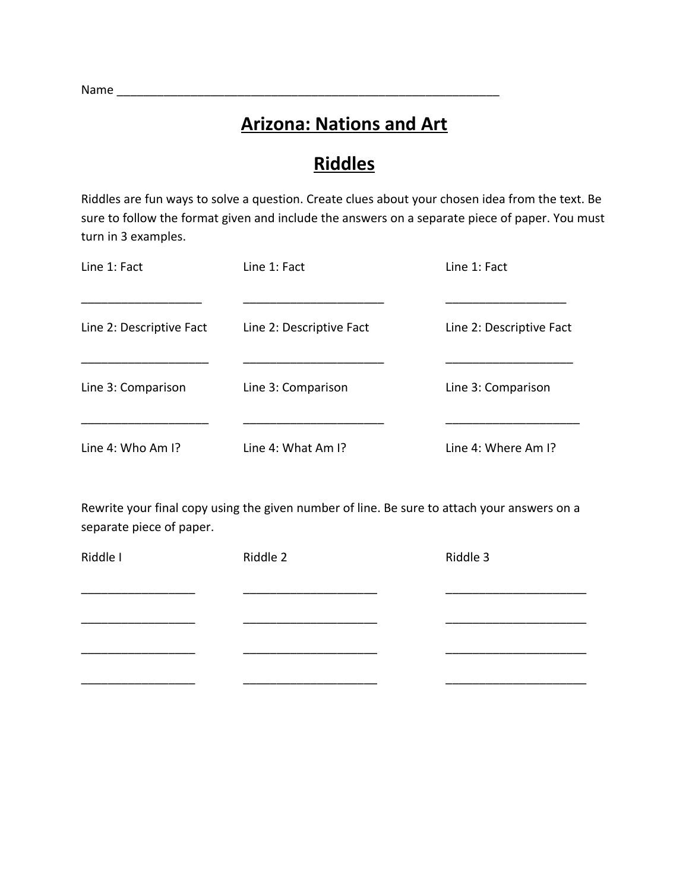### **Arizona: Nations and Art**

## **Riddles**

Riddles are fun ways to solve a question. Create clues about your chosen idea from the text. Be sure to follow the format given and include the answers on a separate piece of paper. You must turn in 3 examples.

| Line 1: Fact                  | Line 1: Fact             | Line 1: Fact             |
|-------------------------------|--------------------------|--------------------------|
| Line 2: Descriptive Fact      | Line 2: Descriptive Fact | Line 2: Descriptive Fact |
| Line 3: Comparison            | Line 3: Comparison       | Line 3: Comparison       |
| Line 4: Who Am $\mathsf{I}$ ? | Line 4: What Am I?       | Line 4: Where Am I?      |

Rewrite your final copy using the given number of line. Be sure to attach your answers on a separate piece of paper.

| Riddle I | Riddle 2 | Riddle 3 |
|----------|----------|----------|
|          |          |          |
|          |          |          |
|          |          |          |
|          |          |          |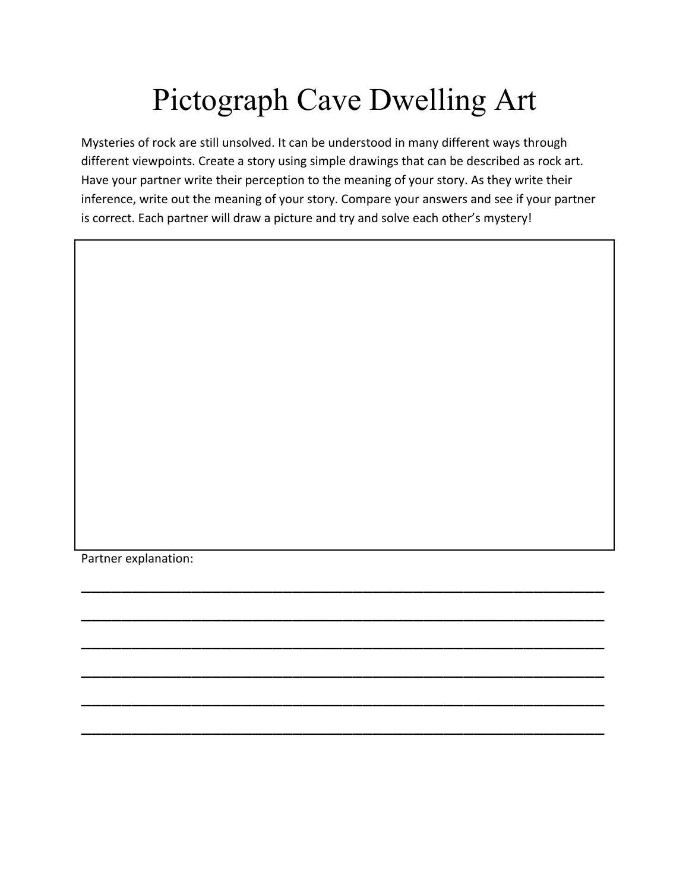# Pictograph Cave Dwelling Art

Mysteries of rock are still unsolved. It can be understood in many different ways through different viewpoints. Create a story using simple drawings that can be described as rock art. Have your partner write their perception to the meaning of your story. As they write their inference, write out the meaning of your story. Compare your answers and see if your partner is correct. Each partner will draw a picture and try and solve each other's mystery!

\_\_\_\_\_\_\_\_\_\_\_\_\_\_\_\_\_\_\_\_\_\_\_\_\_\_\_\_\_\_\_\_\_\_\_\_\_\_\_\_\_\_\_\_\_\_\_\_\_\_\_\_

\_\_\_\_\_\_\_\_\_\_\_\_\_\_\_\_\_\_\_\_\_\_\_\_\_\_\_\_\_\_\_\_\_\_\_\_\_\_\_\_\_\_\_\_\_\_\_\_\_\_\_\_

\_\_\_\_\_\_\_\_\_\_\_\_\_\_\_\_\_\_\_\_\_\_\_\_\_\_\_\_\_\_\_\_\_\_\_\_\_\_\_\_\_\_\_\_\_\_\_\_\_\_\_\_

\_\_\_\_\_\_\_\_\_\_\_\_\_\_\_\_\_\_\_\_\_\_\_\_\_\_\_\_\_\_\_\_\_\_\_\_\_\_\_\_\_\_\_\_\_\_\_\_\_\_\_\_

\_\_\_\_\_\_\_\_\_\_\_\_\_\_\_\_\_\_\_\_\_\_\_\_\_\_\_\_\_\_\_\_\_\_\_\_\_\_\_\_\_\_\_\_\_\_\_\_\_\_\_\_

\_\_\_\_\_\_\_\_\_\_\_\_\_\_\_\_\_\_\_\_\_\_\_\_\_\_\_\_\_\_\_\_\_\_\_\_\_\_\_\_\_\_\_\_\_\_\_\_\_\_\_\_

Partner explanation: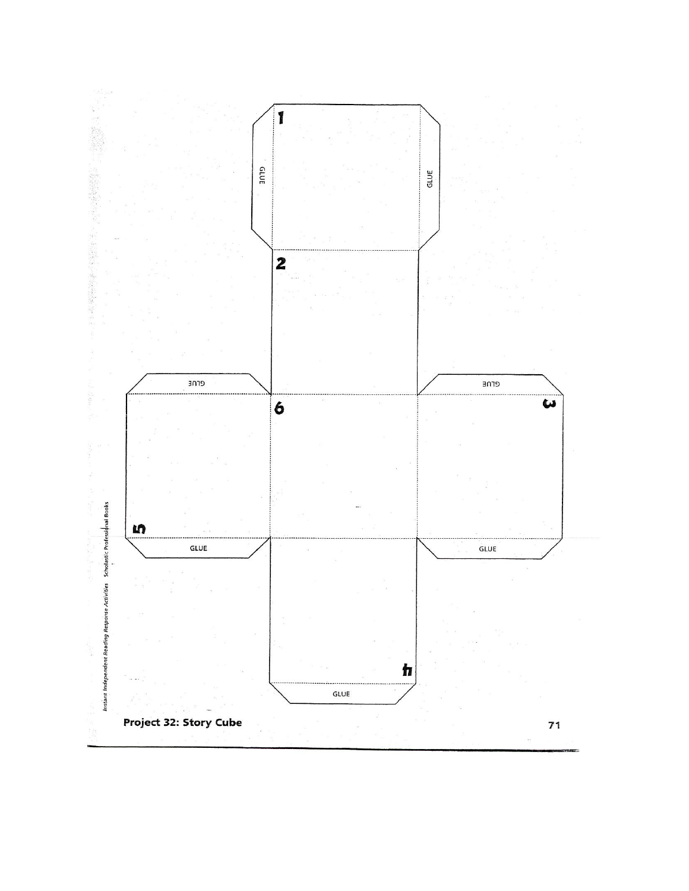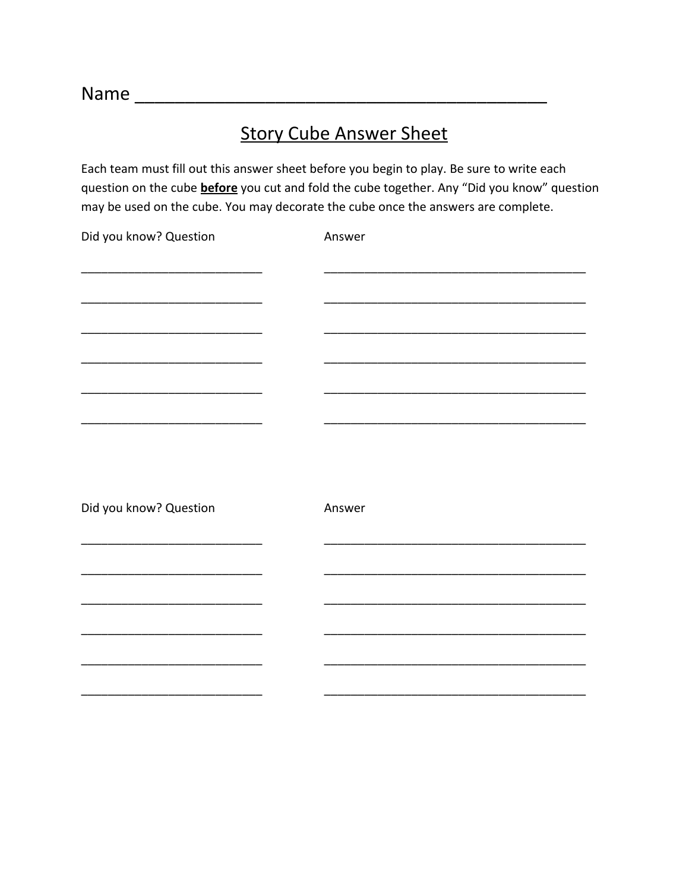## **Story Cube Answer Sheet**

Each team must fill out this answer sheet before you begin to play. Be sure to write each question on the cube **before** you cut and fold the cube together. Any "Did you know" question may be used on the cube. You may decorate the cube once the answers are complete.

| Did you know? Question | Answer |
|------------------------|--------|
|                        |        |
|                        |        |
|                        |        |
|                        |        |
|                        |        |
|                        |        |
|                        |        |
|                        |        |
|                        |        |
|                        |        |
|                        |        |
| Did you know? Question | Answer |
|                        |        |
|                        |        |
|                        |        |
|                        |        |
|                        |        |
|                        |        |
|                        |        |
|                        |        |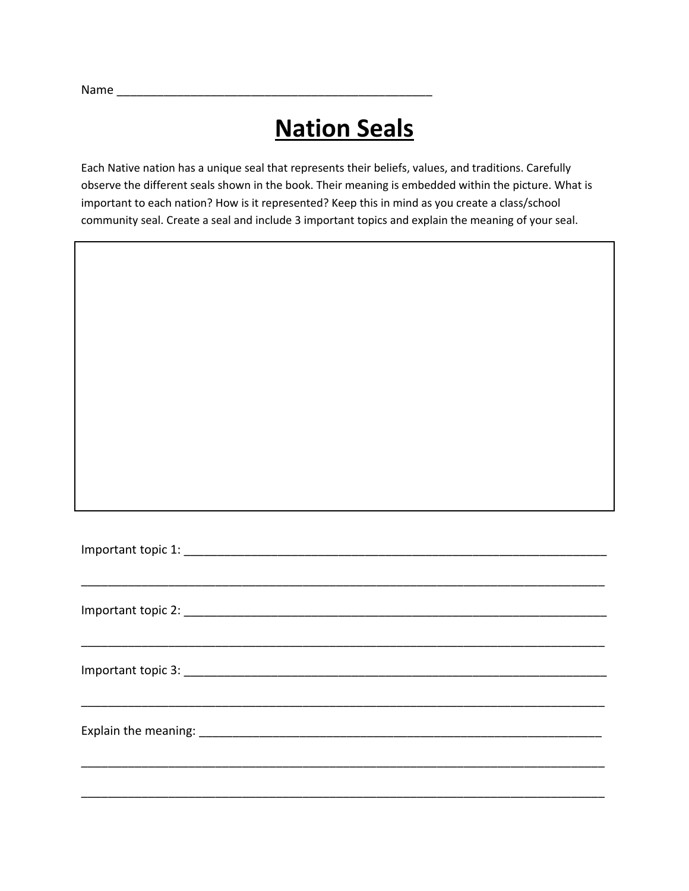Name \_\_\_\_\_\_\_\_\_\_\_\_\_\_\_\_\_\_\_\_\_\_\_\_\_\_\_\_\_\_\_\_\_\_\_\_\_\_\_\_\_\_\_\_\_\_\_

# **Nation Seals**

Each Native nation has a unique seal that represents their beliefs, values, and traditions. Carefully observe the different seals shown in the book. Their meaning is embedded within the picture. What is important to each nation? How is it represented? Keep this in mind as you create a class/school community seal. Create a seal and include 3 important topics and explain the meaning of your seal.

\_\_\_\_\_\_\_\_\_\_\_\_\_\_\_\_\_\_\_\_\_\_\_\_\_\_\_\_\_\_\_\_\_\_\_\_\_\_\_\_\_\_\_\_\_\_\_\_\_\_\_\_\_\_\_\_\_\_\_\_\_\_\_\_\_\_\_\_\_\_\_\_\_\_\_\_\_\_

\_\_\_\_\_\_\_\_\_\_\_\_\_\_\_\_\_\_\_\_\_\_\_\_\_\_\_\_\_\_\_\_\_\_\_\_\_\_\_\_\_\_\_\_\_\_\_\_\_\_\_\_\_\_\_\_\_\_\_\_\_\_\_\_\_\_\_\_\_\_\_\_\_\_\_\_\_\_

\_\_\_\_\_\_\_\_\_\_\_\_\_\_\_\_\_\_\_\_\_\_\_\_\_\_\_\_\_\_\_\_\_\_\_\_\_\_\_\_\_\_\_\_\_\_\_\_\_\_\_\_\_\_\_\_\_\_\_\_\_\_\_\_\_\_\_\_\_\_\_\_\_\_\_\_\_\_

\_\_\_\_\_\_\_\_\_\_\_\_\_\_\_\_\_\_\_\_\_\_\_\_\_\_\_\_\_\_\_\_\_\_\_\_\_\_\_\_\_\_\_\_\_\_\_\_\_\_\_\_\_\_\_\_\_\_\_\_\_\_\_\_\_\_\_\_\_\_\_\_\_\_\_\_\_\_

\_\_\_\_\_\_\_\_\_\_\_\_\_\_\_\_\_\_\_\_\_\_\_\_\_\_\_\_\_\_\_\_\_\_\_\_\_\_\_\_\_\_\_\_\_\_\_\_\_\_\_\_\_\_\_\_\_\_\_\_\_\_\_\_\_\_\_\_\_\_\_\_\_\_\_\_\_\_

| Important topic 1: |  |
|--------------------|--|
|                    |  |

Important topic 2: \_\_\_\_\_\_\_\_\_\_\_\_\_\_\_\_\_\_\_\_\_\_\_\_\_\_\_\_\_\_\_\_\_\_\_\_\_\_\_\_\_\_\_\_\_\_\_\_\_\_\_\_\_\_\_\_\_\_\_\_\_\_\_

| Important topic 3: |  |
|--------------------|--|
|                    |  |

Explain the meaning: \_\_\_\_\_\_\_\_\_\_\_\_\_\_\_\_\_\_\_\_\_\_\_\_\_\_\_\_\_\_\_\_\_\_\_\_\_\_\_\_\_\_\_\_\_\_\_\_\_\_\_\_\_\_\_\_\_\_\_\_